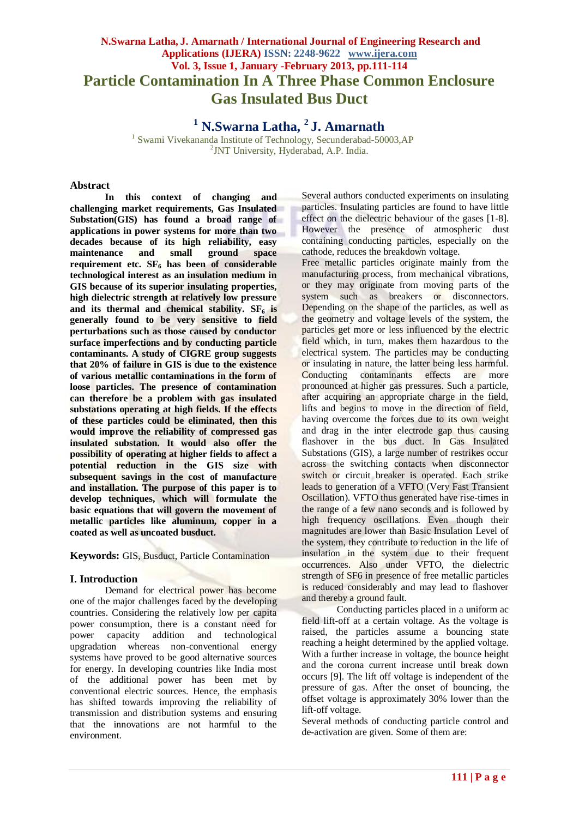# **N.Swarna Latha, J. Amarnath / International Journal of Engineering Research and Applications (IJERA) ISSN: 2248-9622 www.ijera.com Vol. 3, Issue 1, January -February 2013, pp.111-114 Particle Contamination In A Three Phase Common Enclosure Gas Insulated Bus Duct**

**<sup>1</sup> N.Swarna Latha, <sup>2</sup>J. Amarnath**

<sup>1</sup> Swami Vivekananda Institute of Technology, Secunderabad-50003, AP 2 JNT University, Hyderabad, A.P. India.

#### **Abstract**

**In this context of changing and challenging market requirements, Gas Insulated Substation(GIS) has found a broad range of applications in power systems for more than two decades because of its high reliability, easy maintenance and small ground space requirement etc. SF<sup>6</sup> has been of considerable technological interest as an insulation medium in GIS because of its superior insulating properties, high dielectric strength at relatively low pressure and its thermal and chemical stability. SF<sup>6</sup> is generally found to be very sensitive to field perturbations such as those caused by conductor surface imperfections and by conducting particle contaminants. A study of CIGRE group suggests that 20% of failure in GIS is due to the existence of various metallic contaminations in the form of loose particles. The presence of contamination can therefore be a problem with gas insulated substations operating at high fields. If the effects of these particles could be eliminated, then this would improve the reliability of compressed gas insulated substation. It would also offer the possibility of operating at higher fields to affect a potential reduction in the GIS size with subsequent savings in the cost of manufacture and installation. The purpose of this paper is to develop techniques, which will formulate the basic equations that will govern the movement of metallic particles like aluminum, copper in a coated as well as uncoated busduct.**

**Keywords:** GIS, Busduct, Particle Contamination

## **I. Introduction**

Demand for electrical power has become one of the major challenges faced by the developing countries. Considering the relatively low per capita power consumption, there is a constant need for power capacity addition and technological upgradation whereas non-conventional energy systems have proved to be good alternative sources for energy. In developing countries like India most of the additional power has been met by conventional electric sources. Hence, the emphasis has shifted towards improving the reliability of transmission and distribution systems and ensuring that the innovations are not harmful to the environment.

Several authors conducted experiments on insulating particles. Insulating particles are found to have little effect on the dielectric behaviour of the gases [1-8]. However the presence of atmospheric dust containing conducting particles, especially on the cathode, reduces the breakdown voltage.

Free metallic particles originate mainly from the manufacturing process, from mechanical vibrations, or they may originate from moving parts of the system such as breakers or disconnectors. Depending on the shape of the particles, as well as the geometry and voltage levels of the system, the particles get more or less influenced by the electric field which, in turn, makes them hazardous to the electrical system. The particles may be conducting or insulating in nature, the latter being less harmful. Conducting contaminants effects are more pronounced at higher gas pressures. Such a particle, after acquiring an appropriate charge in the field, lifts and begins to move in the direction of field, having overcome the forces due to its own weight and drag in the inter electrode gap thus causing flashover in the bus duct. In Gas Insulated Substations (GIS), a large number of restrikes occur across the switching contacts when disconnector switch or circuit breaker is operated. Each strike leads to generation of a VFTO (Very Fast Transient Oscillation). VFTO thus generated have rise-times in the range of a few nano seconds and is followed by high frequency oscillations. Even though their magnitudes are lower than Basic Insulation Level of the system, they contribute to reduction in the life of insulation in the system due to their frequent occurrences. Also under VFTO, the dielectric strength of SF6 in presence of free metallic particles is reduced considerably and may lead to flashover and thereby a ground fault.

Conducting particles placed in a uniform ac field lift-off at a certain voltage. As the voltage is raised, the particles assume a bouncing state reaching a height determined by the applied voltage. With a further increase in voltage, the bounce height and the corona current increase until break down occurs [9]. The lift off voltage is independent of the pressure of gas. After the onset of bouncing, the offset voltage is approximately 30% lower than the lift-off voltage.

Several methods of conducting particle control and de-activation are given. Some of them are: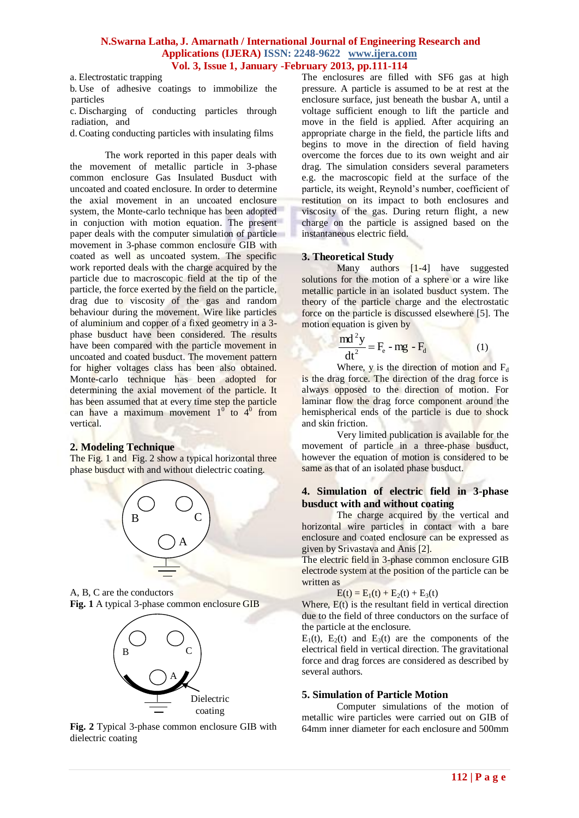#### **N.Swarna Latha, J. Amarnath / International Journal of Engineering Research and Applications (IJERA) ISSN: 2248-9622 www.ijera.com Vol. 3, Issue 1, January -February 2013, pp.111-114**

a. Electrostatic trapping

b. Use of adhesive coatings to immobilize the particles

c. Discharging of conducting particles through radiation, and

d.Coating conducting particles with insulating films

The work reported in this paper deals with the movement of metallic particle in 3-phase common enclosure Gas Insulated Busduct with uncoated and coated enclosure. In order to determine the axial movement in an uncoated enclosure system, the Monte-carlo technique has been adopted in conjuction with motion equation. The present paper deals with the computer simulation of particle movement in 3-phase common enclosure GIB with coated as well as uncoated system. The specific work reported deals with the charge acquired by the particle due to macroscopic field at the tip of the particle, the force exerted by the field on the particle, drag due to viscosity of the gas and random behaviour during the movement. Wire like particles of aluminium and copper of a fixed geometry in a 3 phase busduct have been considered. The results have been compared with the particle movement in uncoated and coated busduct. The movement pattern for higher voltages class has been also obtained. Monte-carlo technique has been adopted for determining the axial movement of the particle. It has been assumed that at every time step the particle can have a maximum movement  $1^{0}$  to  $4^{0}$  from vertical.

#### **2. Modeling Technique**

The Fig. 1 and Fig. 2 show a typical horizontal three phase busduct with and without dielectric coating.



A, B, C are the conductors **Fig. 1** A typical 3-phase common enclosure GIB



**Fig. 2** Typical 3-phase common enclosure GIB with dielectric coating

The enclosures are filled with SF6 gas at high pressure. A particle is assumed to be at rest at the enclosure surface, just beneath the busbar A, until a voltage sufficient enough to lift the particle and move in the field is applied. After acquiring an appropriate charge in the field, the particle lifts and begins to move in the direction of field having overcome the forces due to its own weight and air drag. The simulation considers several parameters e.g. the macroscopic field at the surface of the particle, its weight, Reynold's number, coefficient of restitution on its impact to both enclosures and viscosity of the gas. During return flight, a new charge on the particle is assigned based on the instantaneous electric field.

#### **3. Theoretical Study**

Many authors [1-4] have suggested solutions for the motion of a sphere or a wire like metallic particle in an isolated busduct system. The theory of the particle charge and the electrostatic force on the particle is discussed elsewhere [5]. The motion equation is given by

$$
\frac{md^2y}{dt^2} = F_e - mg - F_d
$$
 (1)

Where, y is the direction of motion and  $F_d$ is the drag force. The direction of the drag force is always opposed to the direction of motion. For laminar flow the drag force component around the hemispherical ends of the particle is due to shock and skin friction.

Very limited publication is available for the movement of particle in a three-phase busduct, however the equation of motion is considered to be same as that of an isolated phase busduct.

#### **4. Simulation of electric field in 3-phase busduct with and without coating**

The charge acquired by the vertical and horizontal wire particles in contact with a bare enclosure and coated enclosure can be expressed as given by Srivastava and Anis [2].

The electric field in 3-phase common enclosure GIB electrode system at the position of the particle can be written as

 $E(t) = E_1(t) + E_2(t) + E_3(t)$ 

Where,  $E(t)$  is the resultant field in vertical direction due to the field of three conductors on the surface of the particle at the enclosure.

 $E_1(t)$ ,  $E_2(t)$  and  $E_3(t)$  are the components of the electrical field in vertical direction. The gravitational force and drag forces are considered as described by several authors.

#### **5. Simulation of Particle Motion**

Computer simulations of the motion of metallic wire particles were carried out on GIB of 64mm inner diameter for each enclosure and 500mm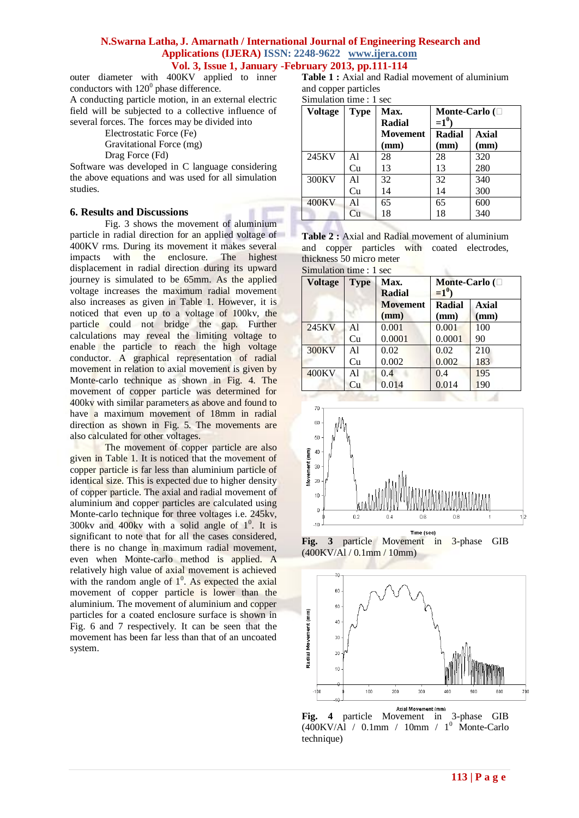#### **N.Swarna Latha, J. Amarnath / International Journal of Engineering Research and Applications (IJERA) ISSN: 2248-9622 www.ijera.com Vol. 3, Issue 1, January -February 2013, pp.111-114**

outer diameter with 400KV applied to inner conductors with  $120^0$  phase difference.

A conducting particle motion, in an external electric field will be subjected to a collective influence of several forces. The forces may be divided into

Electrostatic Force (Fe) Gravitational Force (mg)

Drag Force (Fd)

Software was developed in C language considering the above equations and was used for all simulation studies.

## **6. Results and Discussions**

Fig. 3 shows the movement of aluminium particle in radial direction for an applied voltage of 400KV rms. During its movement it makes several impacts with the enclosure. The highest displacement in radial direction during its upward journey is simulated to be 65mm. As the applied voltage increases the maximum radial movement also increases as given in Table 1. However, it is noticed that even up to a voltage of 100kv, the particle could not bridge the gap. Further calculations may reveal the limiting voltage to enable the particle to reach the high voltage conductor. A graphical representation of radial movement in relation to axial movement is given by Monte-carlo technique as shown in Fig. 4. The movement of copper particle was determined for 400kv with similar parameters as above and found to have a maximum movement of 18mm in radial direction as shown in Fig. 5. The movements are also calculated for other voltages.

The movement of copper particle are also given in Table 1. It is noticed that the movement of copper particle is far less than aluminium particle of identical size. This is expected due to higher density of copper particle. The axial and radial movement of aluminium and copper particles are calculated using Monte-carlo technique for three voltages i.e. 245kv, 300kv and  $400kv$  with a solid angle of  $1^0$ . It is significant to note that for all the cases considered, there is no change in maximum radial movement, even when Monte-carlo method is applied. A relatively high value of axial movement is achieved with the random angle of  $1^0$ . As expected the axial movement of copper particle is lower than the aluminium. The movement of aluminium and copper particles for a coated enclosure surface is shown in Fig. 6 and 7 respectively. It can be seen that the movement has been far less than that of an uncoated system.

Table 1 : Axial and Radial movement of aluminium and copper particles

Simulation time : 1 sec

| <b>Voltage</b> | <b>Type</b> | Max.<br><b>Radial</b>   | Monte-Carlo $(\Box$<br>$=1^0$ |                      |  |
|----------------|-------------|-------------------------|-------------------------------|----------------------|--|
|                |             | <b>Movement</b><br>(mm) | Radial<br>(mm)                | <b>Axial</b><br>(mm) |  |
| 245KV          | Al          | 28                      | 28                            | 320                  |  |
|                | Cu          | 13                      | 13                            | 280                  |  |
| 300KV          | Al          | 32                      | 32                            | 340                  |  |
|                | Cu          | 14                      | 14                            | 300                  |  |
| 400KV          | Al          | 65                      | 65                            | 600                  |  |
|                | Сu          | 18                      | 18                            | 340                  |  |

|                         |                          |  | <b>Table 2:</b> Axial and Radial movement of aluminium |
|-------------------------|--------------------------|--|--------------------------------------------------------|
|                         |                          |  | and copper particles with coated electrodes,           |
|                         | thickness 50 micro meter |  |                                                        |
| Simplation time · 1 sec |                          |  |                                                        |

| <b>Voltage</b> | <b>Type</b> | Max.<br>Radial<br><b>Movement</b><br>(mm) | Monte-Carlo $(\Box$<br>$=1^0$ |                      |
|----------------|-------------|-------------------------------------------|-------------------------------|----------------------|
|                |             |                                           | Radial<br>(mm)                | <b>Axial</b><br>(mm) |
| 245KV          | Al          | 0.001                                     | 0.001                         | 100                  |
|                | Cu          | 0.0001                                    | 0.0001                        | 90                   |
| 300KV          | Al          | 0.02                                      | 0.02                          | 210                  |
|                | Cu          | 0.002                                     | 0.002                         | 183                  |
| <b>400KV</b>   | Al          | 0.4                                       | 0.4                           | 195                  |
|                | Cu          | 0.014                                     | 0.014                         | 190                  |



**Fig. 3** particle Movement in 3-phase GIB (400KV/Al / 0.1mm / 10mm)



**Fig. 4** particle Movement in 3-phase GIB  $(400$ KV/Al / 0.1mm / 10mm / 1<sup>0</sup> Monte-Carlo technique)